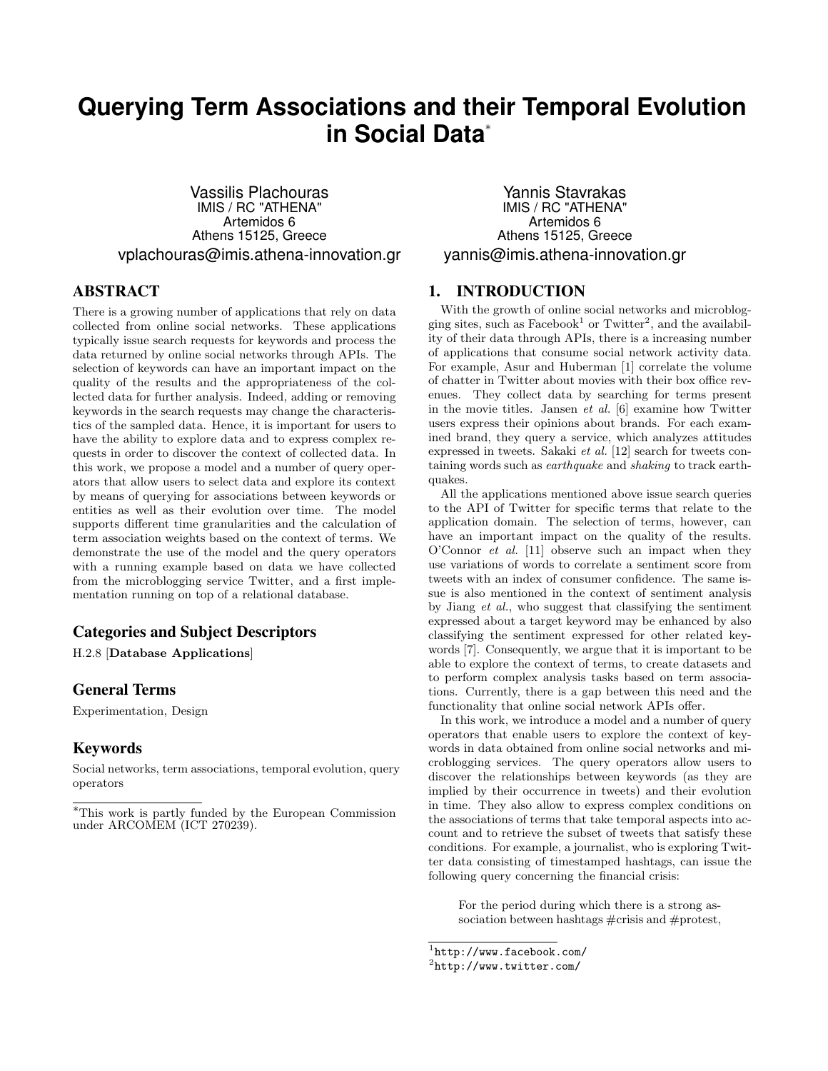# **Querying Term Associations and their Temporal Evolution in Social Data**<sup>∗</sup>

Vassilis Plachouras IMIS / RC "ATHENA" Artemidos 6 Athens 15125, Greece vplachouras@imis.athena-innovation.gr

# ABSTRACT

There is a growing number of applications that rely on data collected from online social networks. These applications typically issue search requests for keywords and process the data returned by online social networks through APIs. The selection of keywords can have an important impact on the quality of the results and the appropriateness of the collected data for further analysis. Indeed, adding or removing keywords in the search requests may change the characteristics of the sampled data. Hence, it is important for users to have the ability to explore data and to express complex requests in order to discover the context of collected data. In this work, we propose a model and a number of query operators that allow users to select data and explore its context by means of querying for associations between keywords or entities as well as their evolution over time. The model supports different time granularities and the calculation of term association weights based on the context of terms. We demonstrate the use of the model and the query operators with a running example based on data we have collected from the microblogging service Twitter, and a first implementation running on top of a relational database.

# Categories and Subject Descriptors

H.2.8 [Database Applications]

# General Terms

Experimentation, Design

### Keywords

Social networks, term associations, temporal evolution, query operators

Yannis Stavrakas IMIS / RC "ATHENA" Artemidos 6 Athens 15125, Greece yannis@imis.athena-innovation.gr

# 1. INTRODUCTION

With the growth of online social networks and microblogging sites, such as  $Facebook<sup>1</sup>$  or  $Twitter<sup>2</sup>$ , and the availability of their data through APIs, there is a increasing number of applications that consume social network activity data. For example, Asur and Huberman [1] correlate the volume of chatter in Twitter about movies with their box office revenues. They collect data by searching for terms present in the movie titles. Jansen et al. [6] examine how Twitter users express their opinions about brands. For each examined brand, they query a service, which analyzes attitudes expressed in tweets. Sakaki et al. [12] search for tweets containing words such as earthquake and shaking to track earthquakes.

All the applications mentioned above issue search queries to the API of Twitter for specific terms that relate to the application domain. The selection of terms, however, can have an important impact on the quality of the results. O'Connor et al. [11] observe such an impact when they use variations of words to correlate a sentiment score from tweets with an index of consumer confidence. The same issue is also mentioned in the context of sentiment analysis by Jiang et al., who suggest that classifying the sentiment expressed about a target keyword may be enhanced by also classifying the sentiment expressed for other related keywords [7]. Consequently, we argue that it is important to be able to explore the context of terms, to create datasets and to perform complex analysis tasks based on term associations. Currently, there is a gap between this need and the functionality that online social network APIs offer.

In this work, we introduce a model and a number of query operators that enable users to explore the context of keywords in data obtained from online social networks and microblogging services. The query operators allow users to discover the relationships between keywords (as they are implied by their occurrence in tweets) and their evolution in time. They also allow to express complex conditions on the associations of terms that take temporal aspects into account and to retrieve the subset of tweets that satisfy these conditions. For example, a journalist, who is exploring Twitter data consisting of timestamped hashtags, can issue the following query concerning the financial crisis:

For the period during which there is a strong association between hashtags #crisis and #protest,

<sup>∗</sup>This work is partly funded by the European Commission under ARCOMEM (ICT 270239).

<sup>1</sup> http://www.facebook.com/

 $^{2}$ http://www.twitter.com/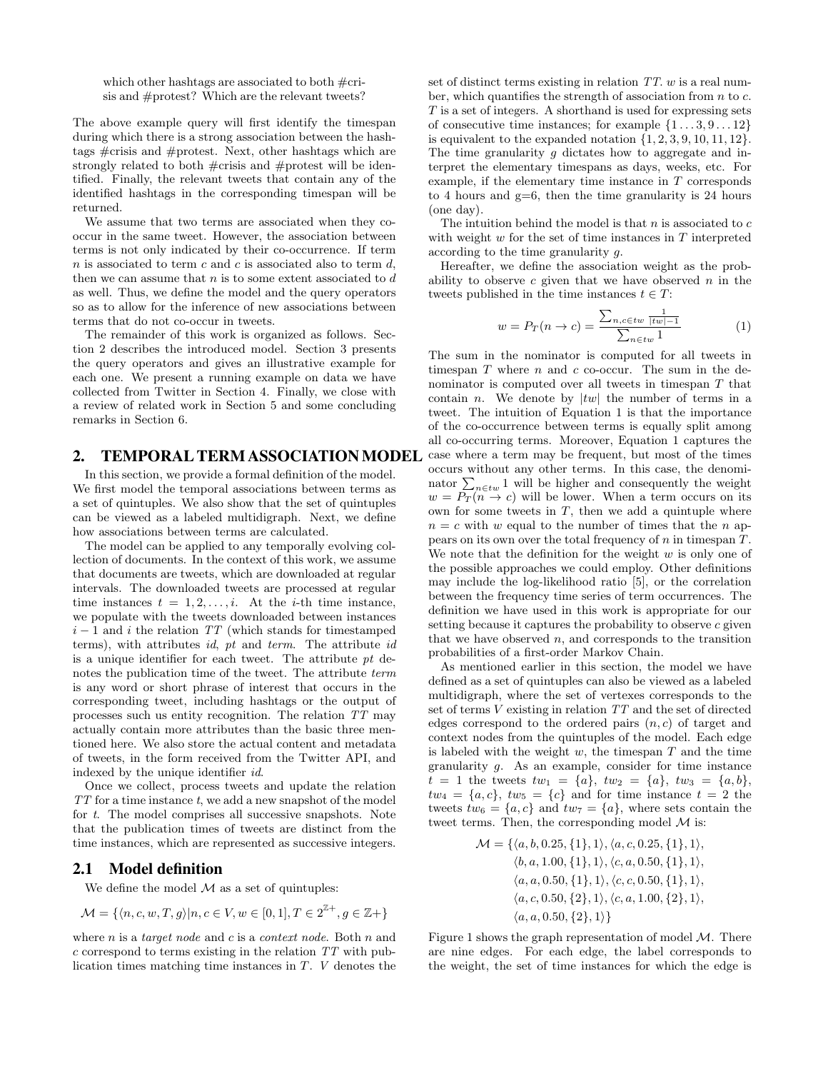which other hashtags are associated to both #crisis and #protest? Which are the relevant tweets?

The above example query will first identify the timespan during which there is a strong association between the hashtags #crisis and #protest. Next, other hashtags which are strongly related to both #crisis and #protest will be identified. Finally, the relevant tweets that contain any of the identified hashtags in the corresponding timespan will be returned.

We assume that two terms are associated when they cooccur in the same tweet. However, the association between terms is not only indicated by their co-occurrence. If term n is associated to term c and c is associated also to term  $d$ , then we can assume that  $n$  is to some extent associated to  $d$ as well. Thus, we define the model and the query operators so as to allow for the inference of new associations between terms that do not co-occur in tweets.

The remainder of this work is organized as follows. Section 2 describes the introduced model. Section 3 presents the query operators and gives an illustrative example for each one. We present a running example on data we have collected from Twitter in Section 4. Finally, we close with a review of related work in Section 5 and some concluding remarks in Section 6.

## 2. TEMPORAL TERM ASSOCIATIONMODEL

In this section, we provide a formal definition of the model. We first model the temporal associations between terms as a set of quintuples. We also show that the set of quintuples can be viewed as a labeled multidigraph. Next, we define how associations between terms are calculated.

The model can be applied to any temporally evolving collection of documents. In the context of this work, we assume that documents are tweets, which are downloaded at regular intervals. The downloaded tweets are processed at regular time instances  $t = 1, 2, \ldots, i$ . At the *i*-th time instance, we populate with the tweets downloaded between instances  $i-1$  and i the relation TT (which stands for timestamped terms), with attributes id, pt and term. The attribute id is a unique identifier for each tweet. The attribute  $pt$  denotes the publication time of the tweet. The attribute *term* is any word or short phrase of interest that occurs in the corresponding tweet, including hashtags or the output of processes such us entity recognition. The relation TT may actually contain more attributes than the basic three mentioned here. We also store the actual content and metadata of tweets, in the form received from the Twitter API, and indexed by the unique identifier id.

Once we collect, process tweets and update the relation TT for a time instance t, we add a new snapshot of the model for t. The model comprises all successive snapshots. Note that the publication times of tweets are distinct from the time instances, which are represented as successive integers.

## 2.1 Model definition

We define the model  $M$  as a set of quintuples:

$$
\mathcal{M} = \{ \langle n, c, w, T, g \rangle | n, c \in V, w \in [0, 1], T \in 2^{\mathbb{Z}+}, g \in \mathbb{Z}+ \}
$$

where  $n$  is a *target node* and  $c$  is a *context node*. Both  $n$  and  $c$  correspond to terms existing in the relation  $TT$  with publication times matching time instances in T. V denotes the

set of distinct terms existing in relation  $TT$ . w is a real number, which quantifies the strength of association from  $n$  to  $c$ .  $T$  is a set of integers. A shorthand is used for expressing sets of consecutive time instances; for example  $\{1 \dots 3, 9 \dots 12\}$ is equivalent to the expanded notation  $\{1, 2, 3, 9, 10, 11, 12\}$ . The time granularity  $q$  dictates how to aggregate and interpret the elementary timespans as days, weeks, etc. For example, if the elementary time instance in T corresponds to 4 hours and  $g=6$ , then the time granularity is 24 hours (one day).

The intuition behind the model is that  $n$  is associated to  $c$ with weight  $w$  for the set of time instances in  $T$  interpreted according to the time granularity g.

Hereafter, we define the association weight as the probability to observe  $c$  given that we have observed  $n$  in the tweets published in the time instances  $t \in T$ :

$$
w = P_T(n \to c) = \frac{\sum_{n,c \in tw} \frac{1}{|tw| - 1}}{\sum_{n \in tw} 1}
$$
 (1)

The sum in the nominator is computed for all tweets in timespan  $T$  where  $n$  and  $c$  co-occur. The sum in the denominator is computed over all tweets in timespan T that contain *n*. We denote by  $|tw|$  the number of terms in a tweet. The intuition of Equation 1 is that the importance of the co-occurrence between terms is equally split among all co-occurring terms. Moreover, Equation 1 captures the case where a term may be frequent, but most of the times occurs without any other terms. In this case, the denominator  $\sum_{n\in\mathcal{I}w}1$  will be higher and consequently the weight  $w = \overline{P_T(n \to c)}$  will be lower. When a term occurs on its own for some tweets in  $T$ , then we add a quintuple where  $n = c$  with w equal to the number of times that the n appears on its own over the total frequency of  $n$  in timespan  $T$ . We note that the definition for the weight  $w$  is only one of the possible approaches we could employ. Other definitions may include the log-likelihood ratio [5], or the correlation between the frequency time series of term occurrences. The definition we have used in this work is appropriate for our setting because it captures the probability to observe c given that we have observed  $n$ , and corresponds to the transition probabilities of a first-order Markov Chain.

As mentioned earlier in this section, the model we have defined as a set of quintuples can also be viewed as a labeled multidigraph, where the set of vertexes corresponds to the set of terms V existing in relation TT and the set of directed edges correspond to the ordered pairs  $(n, c)$  of target and context nodes from the quintuples of the model. Each edge is labeled with the weight  $w$ , the timespan  $T$  and the time granularity g. As an example, consider for time instance  $t = 1$  the tweets  $tw_1 = \{a\}, tw_2 = \{a\}, tw_3 = \{a, b\},$  $tw_4 = \{a, c\},\, tw_5 = \{c\}$  and for time instance  $t = 2$  the tweets  $tw_6 = \{a, c\}$  and  $tw_7 = \{a\}$ , where sets contain the tweet terms. Then, the corresponding model  $M$  is:

$$
\mathcal{M} = \{ \langle a, b, 0.25, \{1\}, 1 \rangle, \langle a, c, 0.25, \{1\}, 1 \rangle, \n\langle b, a, 1.00, \{1\}, 1 \rangle, \langle c, a, 0.50, \{1\}, 1 \rangle, \n\langle a, a, 0.50, \{1\}, 1 \rangle, \langle c, c, 0.50, \{1\}, 1 \rangle, \n\langle a, c, 0.50, \{2\}, 1 \rangle, \langle c, a, 1.00, \{2\}, 1 \rangle, \n\langle a, a, 0.50, \{2\}, 1 \rangle \}
$$

Figure 1 shows the graph representation of model  $M$ . There are nine edges. For each edge, the label corresponds to the weight, the set of time instances for which the edge is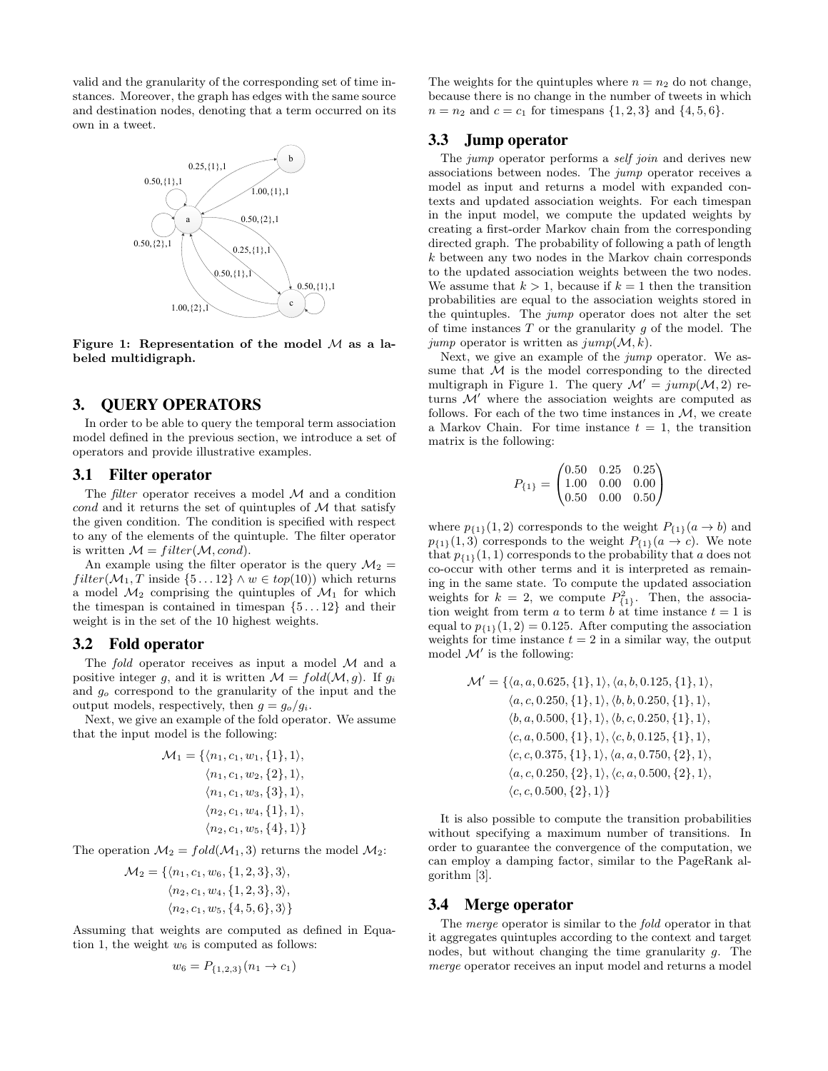valid and the granularity of the corresponding set of time instances. Moreover, the graph has edges with the same source and destination nodes, denoting that a term occurred on its own in a tweet.



Figure 1: Representation of the model  $M$  as a labeled multidigraph.

#### 3. QUERY OPERATORS

In order to be able to query the temporal term association model defined in the previous section, we introduce a set of operators and provide illustrative examples.

#### 3.1 Filter operator

The *filter* operator receives a model  $M$  and a condition cond and it returns the set of quintuples of  $M$  that satisfy the given condition. The condition is specified with respect to any of the elements of the quintuple. The filter operator is written  $\mathcal{M} = filter(\mathcal{M}, cond).$ 

An example using the filter operator is the query  $\mathcal{M}_2 =$  $filter(\mathcal{M}_1, T \text{ inside } \{5 \dots 12\} \wedge w \in top(10))$  which returns a model  $\mathcal{M}_2$  comprising the quintuples of  $\mathcal{M}_1$  for which the timespan is contained in timespan  $\{5 \dots 12\}$  and their weight is in the set of the 10 highest weights.

## 3.2 Fold operator

The fold operator receives as input a model  $M$  and a positive integer g, and it is written  $\mathcal{M} = fold(\mathcal{M}, g)$ . If  $g_i$ and  $g<sub>o</sub>$  correspond to the granularity of the input and the output models, respectively, then  $g = g_o/g_i$ .

Next, we give an example of the fold operator. We assume that the input model is the following:

$$
\mathcal{M}_1 = \{ \langle n_1, c_1, w_1, \{1\}, 1 \rangle, \\ \langle n_1, c_1, w_2, \{2\}, 1 \rangle, \\ \langle n_1, c_1, w_3, \{3\}, 1 \rangle, \\ \langle n_2, c_1, w_4, \{1\}, 1 \rangle, \\ \langle n_2, c_1, w_5, \{4\}, 1 \rangle \}
$$

The operation  $\mathcal{M}_2 = \text{fold}(\mathcal{M}_1, 3)$  returns the model  $\mathcal{M}_2$ :

$$
\mathcal{M}_2 = \{ \langle n_1, c_1, w_6, \{1, 2, 3\}, 3 \rangle, \langle n_2, c_1, w_4, \{1, 2, 3\}, 3 \rangle, \langle n_2, c_1, w_5, \{4, 5, 6\}, 3 \rangle \}
$$

Assuming that weights are computed as defined in Equation 1, the weight  $w_6$  is computed as follows:

$$
w_6 = P_{\{1,2,3\}}(n_1 \to c_1)
$$

The weights for the quintuples where  $n = n_2$  do not change, because there is no change in the number of tweets in which  $n = n_2$  and  $c = c_1$  for timespans  $\{1, 2, 3\}$  and  $\{4, 5, 6\}.$ 

## 3.3 Jump operator

The *jump* operator performs a *self join* and derives new associations between nodes. The jump operator receives a model as input and returns a model with expanded contexts and updated association weights. For each timespan in the input model, we compute the updated weights by creating a first-order Markov chain from the corresponding directed graph. The probability of following a path of length k between any two nodes in the Markov chain corresponds to the updated association weights between the two nodes. We assume that  $k > 1$ , because if  $k = 1$  then the transition probabilities are equal to the association weights stored in the quintuples. The jump operator does not alter the set of time instances  $T$  or the granularity  $q$  of the model. The jump operator is written as  $jump(\mathcal{M}, k)$ .

Next, we give an example of the jump operator. We assume that  $M$  is the model corresponding to the directed multigraph in Figure 1. The query  $\mathcal{M}' = jump(\mathcal{M}, 2)$  returns  $\mathcal{M}'$  where the association weights are computed as follows. For each of the two time instances in  $\mathcal{M}$ , we create a Markov Chain. For time instance  $t = 1$ , the transition matrix is the following:

$$
P_{\{1\}} = \begin{pmatrix} 0.50 & 0.25 & 0.25 \\ 1.00 & 0.00 & 0.00 \\ 0.50 & 0.00 & 0.50 \end{pmatrix}
$$

where  $p_{\{1\}}(1, 2)$  corresponds to the weight  $P_{\{1\}}(a \to b)$  and  $p_{\{1\}}(1,3)$  corresponds to the weight  $P_{\{1\}}(a \to c)$ . We note that  $p_{\{1\}}(1, 1)$  corresponds to the probability that a does not co-occur with other terms and it is interpreted as remaining in the same state. To compute the updated association weights for  $k = 2$ , we compute  $P_{\{1\}}^2$ . Then, the association weight from term a to term b at time instance  $t = 1$  is equal to  $p_{\{1\}}(1, 2) = 0.125$ . After computing the association weights for time instance  $t = 2$  in a similar way, the output model  $\mathcal{M}'$  is the following:

$$
\mathcal{M}' = \{ \langle a, a, 0.625, \{1\}, 1 \rangle, \langle a, b, 0.125, \{1\}, 1 \rangle, \\ \langle a, c, 0.250, \{1\}, 1 \rangle, \langle b, b, 0.250, \{1\}, 1 \rangle, \\ \langle b, a, 0.500, \{1\}, 1 \rangle, \langle b, c, 0.250, \{1\}, 1 \rangle, \\ \langle c, a, 0.500, \{1\}, 1 \rangle, \langle c, b, 0.125, \{1\}, 1 \rangle, \\ \langle c, c, 0.375, \{1\}, 1 \rangle, \langle a, a, 0.750, \{2\}, 1 \rangle, \\ \langle a, c, 0.250, \{2\}, 1 \rangle, \langle c, a, 0.500, \{2\}, 1 \rangle, \\ \langle c, c, 0.500, \{2\}, 1 \rangle \}
$$

It is also possible to compute the transition probabilities without specifying a maximum number of transitions. In order to guarantee the convergence of the computation, we can employ a damping factor, similar to the PageRank algorithm [3].

#### 3.4 Merge operator

The merge operator is similar to the fold operator in that it aggregates quintuples according to the context and target nodes, but without changing the time granularity  $g$ . The merge operator receives an input model and returns a model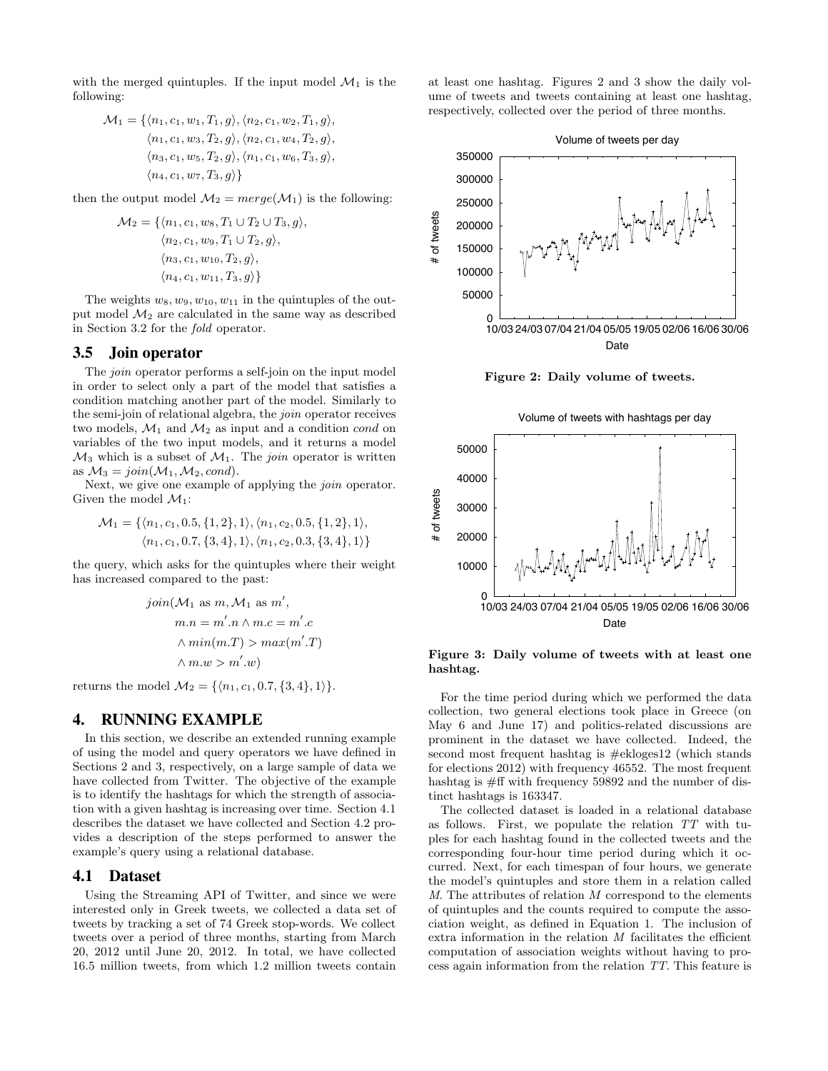with the merged quintuples. If the input model  $\mathcal{M}_1$  is the following:

$$
\mathcal{M}_1 = \{ \langle n_1, c_1, w_1, T_1, g \rangle, \langle n_2, c_1, w_2, T_1, g \rangle, \langle n_1, c_1, w_3, T_2, g \rangle, \langle n_2, c_1, w_4, T_2, g \rangle, \langle n_3, c_1, w_5, T_2, g \rangle, \langle n_1, c_1, w_6, T_3, g \rangle, \langle n_4, c_1, w_7, T_3, g \rangle \}
$$

then the output model  $\mathcal{M}_2 = merge(\mathcal{M}_1)$  is the following:

$$
\mathcal{M}_2 = \{ \langle n_1, c_1, w_8, T_1 \cup T_2 \cup T_3, g \rangle, \\ \langle n_2, c_1, w_9, T_1 \cup T_2, g \rangle, \\ \langle n_3, c_1, w_{10}, T_2, g \rangle, \\ \langle n_4, c_1, w_{11}, T_3, g \rangle \}
$$

The weights  $w_8, w_9, w_{10}, w_{11}$  in the quintuples of the output model  $\mathcal{M}_2$  are calculated in the same way as described in Section 3.2 for the fold operator.

#### 3.5 Join operator

The *join* operator performs a self-join on the input model in order to select only a part of the model that satisfies a condition matching another part of the model. Similarly to the semi-join of relational algebra, the join operator receives two models,  $\mathcal{M}_1$  and  $\mathcal{M}_2$  as input and a condition cond on variables of the two input models, and it returns a model  $\mathcal{M}_3$  which is a subset of  $\mathcal{M}_1$ . The *join* operator is written as  $M_3 = \text{join}(\mathcal{M}_1, \mathcal{M}_2, \text{cond}).$ 

Next, we give one example of applying the *join* operator. Given the model  $\mathcal{M}_1$ :

$$
\mathcal{M}_1 = \{ \langle n_1, c_1, 0.5, \{1, 2\}, 1 \rangle, \langle n_1, c_2, 0.5, \{1, 2\}, 1 \rangle, \langle n_1, c_1, 0.7, \{3, 4\}, 1 \rangle, \langle n_1, c_2, 0.3, \{3, 4\}, 1 \rangle \}
$$

the query, which asks for the quintuples where their weight has increased compared to the past:

$$
join(\mathcal{M}_1 \text{ as } m, \mathcal{M}_1 \text{ as } m',m.n = m'.n \land m.c = m'.c\land min(m.T) > max(m'.T)\land m.w > m'.w)
$$

returns the model  $\mathcal{M}_2 = \{ \langle n_1, c_1, 0.7, \{3, 4\}, 1 \rangle \}.$ 

#### 4. RUNNING EXAMPLE

In this section, we describe an extended running example of using the model and query operators we have defined in Sections 2 and 3, respectively, on a large sample of data we have collected from Twitter. The objective of the example is to identify the hashtags for which the strength of association with a given hashtag is increasing over time. Section 4.1 describes the dataset we have collected and Section 4.2 provides a description of the steps performed to answer the example's query using a relational database.

#### 4.1 Dataset

Using the Streaming API of Twitter, and since we were interested only in Greek tweets, we collected a data set of tweets by tracking a set of 74 Greek stop-words. We collect tweets over a period of three months, starting from March 20, 2012 until June 20, 2012. In total, we have collected 16.5 million tweets, from which 1.2 million tweets contain at least one hashtag. Figures 2 and 3 show the daily volume of tweets and tweets containing at least one hashtag, respectively, collected over the period of three months.



Figure 2: Daily volume of tweets.



#### Figure 3: Daily volume of tweets with at least one hashtag.

For the time period during which we performed the data collection, two general elections took place in Greece (on May 6 and June 17) and politics-related discussions are prominent in the dataset we have collected. Indeed, the second most frequent hashtag is #ekloges12 (which stands for elections 2012) with frequency 46552. The most frequent hashtag is #ff with frequency 59892 and the number of distinct hashtags is 163347.

The collected dataset is loaded in a relational database as follows. First, we populate the relation TT with tuples for each hashtag found in the collected tweets and the corresponding four-hour time period during which it occurred. Next, for each timespan of four hours, we generate the model's quintuples and store them in a relation called M. The attributes of relation M correspond to the elements of quintuples and the counts required to compute the association weight, as defined in Equation 1. The inclusion of extra information in the relation  $M$  facilitates the efficient computation of association weights without having to process again information from the relation TT. This feature is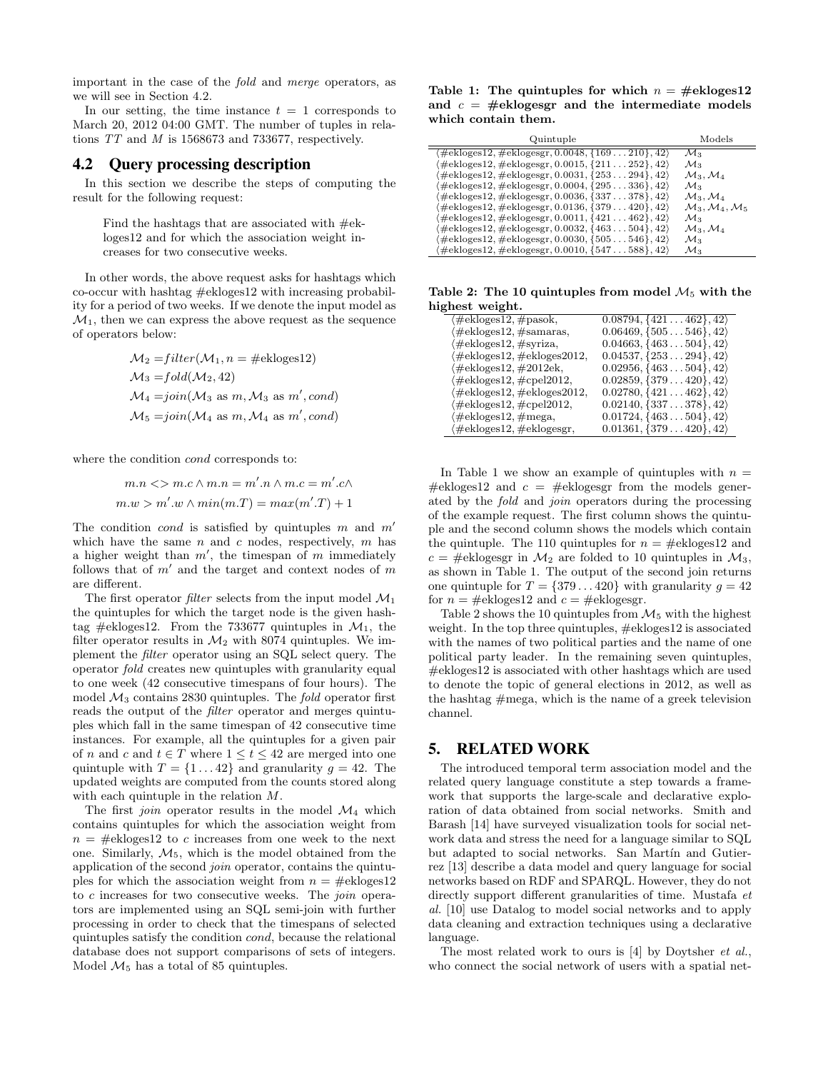important in the case of the fold and merge operators, as we will see in Section 4.2.

In our setting, the time instance  $t = 1$  corresponds to March 20, 2012 04:00 GMT. The number of tuples in relations TT and M is 1568673 and 733677, respectively.

## 4.2 Query processing description

In this section we describe the steps of computing the result for the following request:

Find the hashtags that are associated with  $\#e$ kloges12 and for which the association weight increases for two consecutive weeks.

In other words, the above request asks for hashtags which co-occur with hashtag #ekloges12 with increasing probability for a period of two weeks. If we denote the input model as  $\mathcal{M}_1$ , then we can express the above request as the sequence of operators below:

$$
\mathcal{M}_2 = filter(\mathcal{M}_1, n = \text{\#ekloges12})
$$
  
\n
$$
\mathcal{M}_3 = fold(\mathcal{M}_2, 42)
$$
  
\n
$$
\mathcal{M}_4 = join(\mathcal{M}_3 \text{ as } m, \mathcal{M}_3 \text{ as } m', cond)
$$
  
\n
$$
\mathcal{M}_5 = join(\mathcal{M}_4 \text{ as } m, \mathcal{M}_4 \text{ as } m', cond)
$$

where the condition cond corresponds to:

$$
m.n \ll m.c \land m.n = m'.n \land m.c = m'.c \land
$$

$$
m.w > m'.w \land min(m.T) = max(m'.T) + 1
$$

The condition *cond* is satisfied by quintuples m and  $m'$ which have the same  $n$  and  $c$  nodes, respectively,  $m$  has a higher weight than  $m'$ , the timespan of m immediately follows that of  $m'$  and the target and context nodes of  $m$ are different.

The first operator *filter* selects from the input model  $\mathcal{M}_1$ the quintuples for which the target node is the given hashtag #ekloges12. From the 733677 quintuples in  $\mathcal{M}_1$ , the filter operator results in  $\mathcal{M}_2$  with 8074 quintuples. We implement the filter operator using an SQL select query. The operator fold creates new quintuples with granularity equal to one week (42 consecutive timespans of four hours). The model  $\mathcal{M}_3$  contains 2830 quintuples. The *fold* operator first reads the output of the filter operator and merges quintuples which fall in the same timespan of 42 consecutive time instances. For example, all the quintuples for a given pair of n and c and  $t \in T$  where  $1 \le t \le 42$  are merged into one quintuple with  $T = \{1 \dots 42\}$  and granularity  $q = 42$ . The updated weights are computed from the counts stored along with each quintuple in the relation M.

The first *join* operator results in the model  $\mathcal{M}_4$  which contains quintuples for which the association weight from  $n = \text{\#ekloges12}$  to c increases from one week to the next one. Similarly,  $M_5$ , which is the model obtained from the application of the second join operator, contains the quintuples for which the association weight from  $n = \text{\#ekloges12}$ to  $c$  increases for two consecutive weeks. The *join* operators are implemented using an SQL semi-join with further processing in order to check that the timespans of selected quintuples satisfy the condition cond, because the relational database does not support comparisons of sets of integers. Model  $\mathcal{M}_5$  has a total of 85 quintuples.

Table 1: The quintuples for which  $n = \text{\#ekloges12}$ and  $c = \text{\#eklogesgr}$  and the intermediate models which contain them.

| Quintuple                                                                                          | Models                                        |
|----------------------------------------------------------------------------------------------------|-----------------------------------------------|
| $\langle \text{\#ekloges12}, \text{\#eklogesgr}, \overline{0.0048}, \{169 \dots 210\}, 42 \rangle$ | $\mathcal{M}_3$                               |
| $\langle \#e k \text{loges} 12, \#e k \text{logesgr}, 0.0015, \{211 \dots 252\}, 42 \rangle$       | $\mathcal{M}_3$                               |
| $\langle \#e k \text{loges} 12, \#e k \text{logesgr}, 0.0031, \{253 \ldots 294\}, 42 \rangle$      | $\mathcal{M}_3, \mathcal{M}_4$                |
| $\langle \#e k \text{loges} 12, \#e k \text{logesgr}, 0.0004, \{295 \dots 336\}, 42 \rangle$       | $\mathcal{M}_3$                               |
| $\langle\#e k \text{loges} 12, \#e k \text{logesgr}, 0.0036, \{337 \ldots 378\}, 42 \rangle$       | $\mathcal{M}_3, \mathcal{M}_4$                |
| $\langle \#e k \text{loges} 12, \#e k \text{logesgr}, 0.0136, \{379 \dots 420\}, 42 \rangle$       | $\mathcal{M}_3, \mathcal{M}_4, \mathcal{M}_5$ |
| $\langle \#ekloges12, \#eklogesgr, 0.0011, \{421 \dots 462\}, 42 \rangle$                          | $\mathcal{M}_3$                               |
| $\langle \#e k \text{loges} 12, \#e k \text{logesgr}, 0.0032, \{463 \ldots 504\}, 42 \rangle$      | $\mathcal{M}_3, \mathcal{M}_4$                |
| $\langle\#e k \text{loges} 12, \#e k \text{logesgr}, 0.0030, \{505 \dots 546\}, 42\rangle$         | $\mathcal{M}_3$                               |
| $\langle \#e k \text{loges} 12, \#e k \text{logesgr}, 0.0010, \{547 \dots 588\}, 42 \rangle$       | $\mathcal{M}_3$                               |

Table 2: The 10 quintuples from model  $M_5$  with the highest weight.

| (#ekloges12, #pasok,       | $0.08794, \{421 \ldots 462\}, 42 \}$      |
|----------------------------|-------------------------------------------|
| (#ekloges12, #samaras,     | $0.06469, \{505 \ldots 546\}, 42$         |
| (#ekloges12,#syriza,       | $0.04663, \{463 \ldots 504\}, 42\rangle$  |
| /#ekloges12,#ekloges2012,  | $0.04537, \{253 \ldots 294\}, 42 \rangle$ |
| (#ekloges12,#2012ek,       | $0.02956, \{463 \ldots 504\}, 42$         |
| /#ekloges12,#cpel2012,     | $0.02859, \{379 \ldots 420\}, 42\rangle$  |
| (#ekloges12, #ekloges2012, | $0.02780, \{421 \ldots 462\}, 42\rangle$  |
| /#ekloges12,#cpel2012,     | $0.02140, \{337 \ldots 378\}, 42\rangle$  |
| (#ekloges12, #mega,        | $0.01724, \{463 \ldots 504\}, 42\rangle$  |
| (#ekloges12, #eklogesgr,   | $0.01361, \{379 \ldots 420\}, 42\rangle$  |

In Table 1 we show an example of quintuples with  $n =$ #ekloges12 and  $c =$  #eklogesgr from the models generated by the fold and join operators during the processing of the example request. The first column shows the quintuple and the second column shows the models which contain the quintuple. The 110 quintuples for  $n = \text{\#ekloges12}$  and  $c = \text{\#eklogesgr}$  in  $\mathcal{M}_2$  are folded to 10 quintuples in  $\mathcal{M}_3$ , as shown in Table 1. The output of the second join returns one quintuple for  $T = \{379...420\}$  with granularity  $g = 42$ for  $n = \text{\#ekloges12}$  and  $c = \text{\#eklogesgr.}$ 

Table 2 shows the 10 quintuples from  $\mathcal{M}_5$  with the highest weight. In the top three quintuples, #ekloges12 is associated with the names of two political parties and the name of one political party leader. In the remaining seven quintuples, #ekloges12 is associated with other hashtags which are used to denote the topic of general elections in 2012, as well as the hashtag  $#mega$ , which is the name of a greek television channel.

## 5. RELATED WORK

The introduced temporal term association model and the related query language constitute a step towards a framework that supports the large-scale and declarative exploration of data obtained from social networks. Smith and Barash [14] have surveyed visualization tools for social network data and stress the need for a language similar to SQL but adapted to social networks. San Martín and Gutierrez [13] describe a data model and query language for social networks based on RDF and SPARQL. However, they do not directly support different granularities of time. Mustafa et al. [10] use Datalog to model social networks and to apply data cleaning and extraction techniques using a declarative language.

The most related work to ours is [4] by Doytsher et al., who connect the social network of users with a spatial net